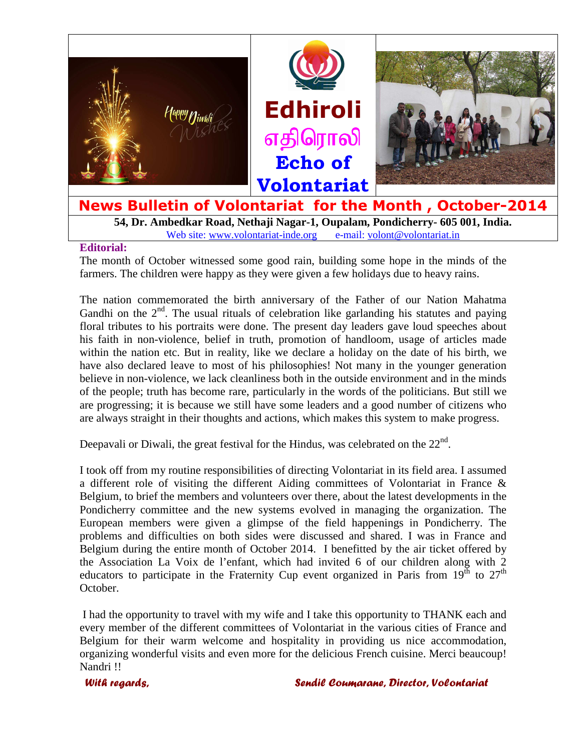

**54, Dr. Ambedkar Road, Nethaji Nagar-1, Oupalam, Pondicherry- 605 001, India.**  Web site: www.volontariat-inde.org e-mail: volont@volontariat.in

#### **Editorial:**

The month of October witnessed some good rain, building some hope in the minds of the farmers. The children were happy as they were given a few holidays due to heavy rains.

The nation commemorated the birth anniversary of the Father of our Nation Mahatma Gandhi on the  $2<sup>nd</sup>$ . The usual rituals of celebration like garlanding his statutes and paying floral tributes to his portraits were done. The present day leaders gave loud speeches about his faith in non-violence, belief in truth, promotion of handloom, usage of articles made within the nation etc. But in reality, like we declare a holiday on the date of his birth, we have also declared leave to most of his philosophies! Not many in the younger generation believe in non-violence, we lack cleanliness both in the outside environment and in the minds of the people; truth has become rare, particularly in the words of the politicians. But still we are progressing; it is because we still have some leaders and a good number of citizens who are always straight in their thoughts and actions, which makes this system to make progress.

Deepavali or Diwali, the great festival for the Hindus, was celebrated on the  $22<sup>nd</sup>$ .

I took off from my routine responsibilities of directing Volontariat in its field area. I assumed a different role of visiting the different Aiding committees of Volontariat in France & Belgium, to brief the members and volunteers over there, about the latest developments in the Pondicherry committee and the new systems evolved in managing the organization. The European members were given a glimpse of the field happenings in Pondicherry. The problems and difficulties on both sides were discussed and shared. I was in France and Belgium during the entire month of October 2014. I benefitted by the air ticket offered by the Association La Voix de l'enfant, which had invited 6 of our children along with 2 educators to participate in the Fraternity Cup event organized in Paris from  $19^{th}$  to  $27^{th}$ October.

 I had the opportunity to travel with my wife and I take this opportunity to THANK each and every member of the different committees of Volontariat in the various cities of France and Belgium for their warm welcome and hospitality in providing us nice accommodation, organizing wonderful visits and even more for the delicious French cuisine. Merci beaucoup! Nandri !!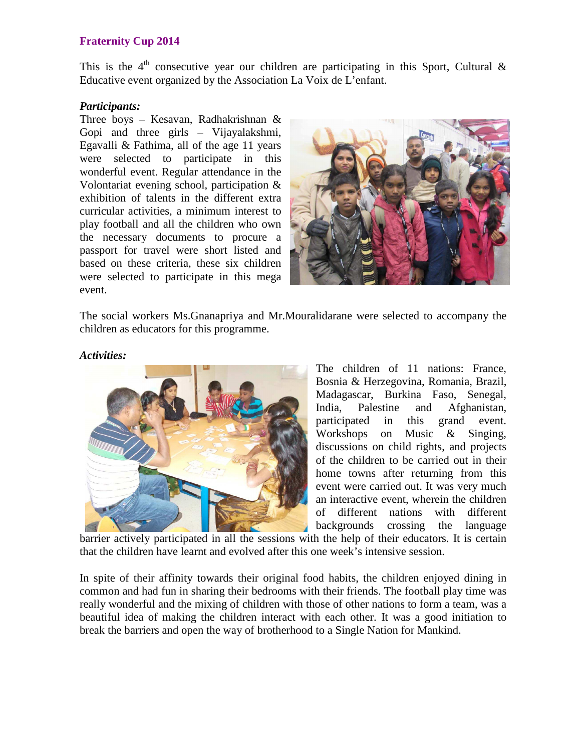# **Fraternity Cup 2014**

This is the  $4<sup>th</sup>$  consecutive year our children are participating in this Sport, Cultural & Educative event organized by the Association La Voix de L'enfant.

### *Participants:*

Three boys – Kesavan, Radhakrishnan & Gopi and three girls – Vijayalakshmi, Egavalli & Fathima, all of the age 11 years were selected to participate in this wonderful event. Regular attendance in the Volontariat evening school, participation & exhibition of talents in the different extra curricular activities, a minimum interest to play football and all the children who own the necessary documents to procure a passport for travel were short listed and based on these criteria, these six children were selected to participate in this mega event.



The social workers Ms.Gnanapriya and Mr.Mouralidarane were selected to accompany the children as educators for this programme.

### *Activities:*



The children of 11 nations: France, Bosnia & Herzegovina, Romania, Brazil, Madagascar, Burkina Faso, Senegal, India, Palestine and Afghanistan, participated in this grand event. Workshops on Music & Singing, discussions on child rights, and projects of the children to be carried out in their home towns after returning from this event were carried out. It was very much an interactive event, wherein the children of different nations with different backgrounds crossing the language

barrier actively participated in all the sessions with the help of their educators. It is certain that the children have learnt and evolved after this one week's intensive session.

In spite of their affinity towards their original food habits, the children enjoyed dining in common and had fun in sharing their bedrooms with their friends. The football play time was really wonderful and the mixing of children with those of other nations to form a team, was a beautiful idea of making the children interact with each other. It was a good initiation to break the barriers and open the way of brotherhood to a Single Nation for Mankind.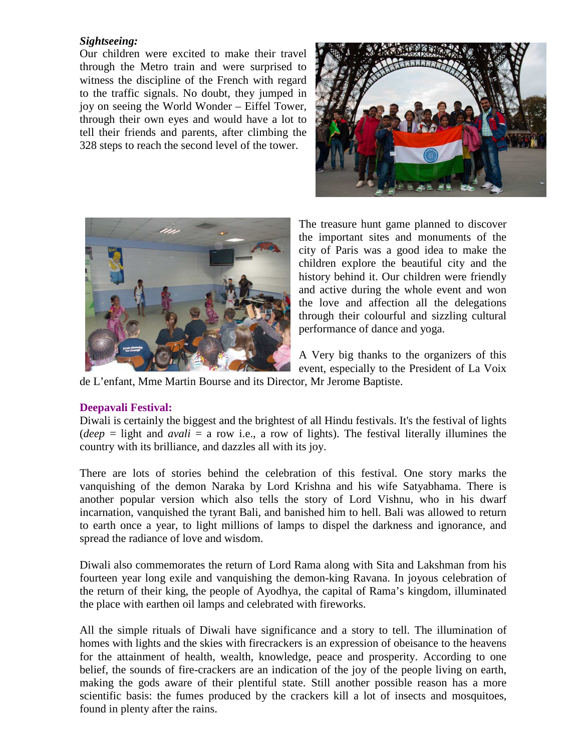# *Sightseeing:*

Our children were excited to make their travel through the Metro train and were surprised to witness the discipline of the French with regard to the traffic signals. No doubt, they jumped in joy on seeing the World Wonder – Eiffel Tower, through their own eyes and would have a lot to tell their friends and parents, after climbing the 328 steps to reach the second level of the tower.





The treasure hunt game planned to discover the important sites and monuments of the city of Paris was a good idea to make the children explore the beautiful city and the history behind it. Our children were friendly and active during the whole event and won the love and affection all the delegations through their colourful and sizzling cultural performance of dance and yoga.

A Very big thanks to the organizers of this event, especially to the President of La Voix

de L'enfant, Mme Martin Bourse and its Director, Mr Jerome Baptiste.

# **Deepavali Festival:**

Diwali is certainly the biggest and the brightest of all Hindu festivals. It's the festival of lights (*deep* = light and *avali* = a row i.e., a row of lights). The festival literally illumines the country with its brilliance, and dazzles all with its joy.

There are lots of stories behind the celebration of this festival. One story marks the vanquishing of the demon Naraka by Lord Krishna and his wife Satyabhama. There is another popular version which also tells the story of Lord Vishnu, who in his dwarf incarnation, vanquished the tyrant Bali, and banished him to hell. Bali was allowed to return to earth once a year, to light millions of lamps to dispel the darkness and ignorance, and spread the radiance of love and wisdom.

Diwali also commemorates the return of Lord Rama along with Sita and Lakshman from his fourteen year long exile and vanquishing the demon-king Ravana. In joyous celebration of the return of their king, the people of Ayodhya, the capital of Rama's kingdom, illuminated the place with earthen oil lamps and celebrated with fireworks.

All the simple rituals of Diwali have significance and a story to tell. The illumination of homes with lights and the skies with firecrackers is an expression of obeisance to the heavens for the attainment of health, wealth, knowledge, peace and prosperity. According to one belief, the sounds of fire-crackers are an indication of the joy of the people living on earth, making the gods aware of their plentiful state. Still another possible reason has a more scientific basis: the fumes produced by the crackers kill a lot of insects and mosquitoes, found in plenty after the rains.